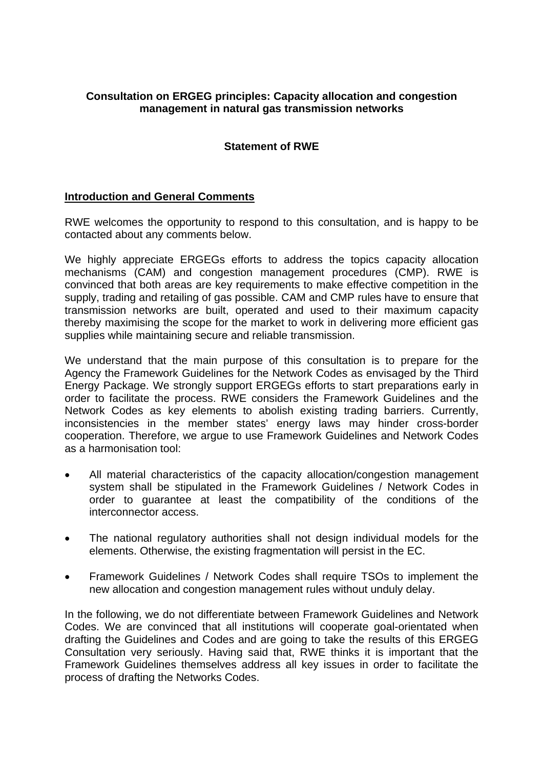# **Consultation on ERGEG principles: Capacity allocation and congestion management in natural gas transmission networks**

# **Statement of RWE**

## **Introduction and General Comments**

RWE welcomes the opportunity to respond to this consultation, and is happy to be contacted about any comments below.

We highly appreciate ERGEGs efforts to address the topics capacity allocation mechanisms (CAM) and congestion management procedures (CMP). RWE is convinced that both areas are key requirements to make effective competition in the supply, trading and retailing of gas possible. CAM and CMP rules have to ensure that transmission networks are built, operated and used to their maximum capacity thereby maximising the scope for the market to work in delivering more efficient gas supplies while maintaining secure and reliable transmission.

We understand that the main purpose of this consultation is to prepare for the Agency the Framework Guidelines for the Network Codes as envisaged by the Third Energy Package. We strongly support ERGEGs efforts to start preparations early in order to facilitate the process. RWE considers the Framework Guidelines and the Network Codes as key elements to abolish existing trading barriers. Currently, inconsistencies in the member states' energy laws may hinder cross-border cooperation. Therefore, we argue to use Framework Guidelines and Network Codes as a harmonisation tool:

- All material characteristics of the capacity allocation/congestion management system shall be stipulated in the Framework Guidelines / Network Codes in order to guarantee at least the compatibility of the conditions of the interconnector access.
- The national regulatory authorities shall not design individual models for the elements. Otherwise, the existing fragmentation will persist in the EC.
- Framework Guidelines / Network Codes shall require TSOs to implement the new allocation and congestion management rules without unduly delay.

In the following, we do not differentiate between Framework Guidelines and Network Codes. We are convinced that all institutions will cooperate goal-orientated when drafting the Guidelines and Codes and are going to take the results of this ERGEG Consultation very seriously. Having said that, RWE thinks it is important that the Framework Guidelines themselves address all key issues in order to facilitate the process of drafting the Networks Codes.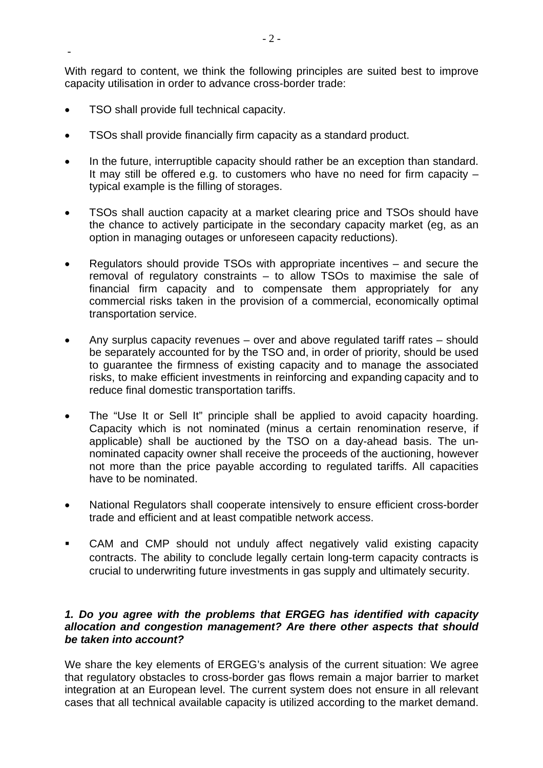With regard to content, we think the following principles are suited best to improve capacity utilisation in order to advance cross-border trade:

• TSO shall provide full technical capacity.

-

- TSOs shall provide financially firm capacity as a standard product.
- In the future, interruptible capacity should rather be an exception than standard. It may still be offered e.g. to customers who have no need for firm capacity – typical example is the filling of storages.
- TSOs shall auction capacity at a market clearing price and TSOs should have the chance to actively participate in the secondary capacity market (eg, as an option in managing outages or unforeseen capacity reductions).
- Regulators should provide TSOs with appropriate incentives and secure the removal of regulatory constraints – to allow TSOs to maximise the sale of financial firm capacity and to compensate them appropriately for any commercial risks taken in the provision of a commercial, economically optimal transportation service.
- Any surplus capacity revenues over and above regulated tariff rates should be separately accounted for by the TSO and, in order of priority, should be used to guarantee the firmness of existing capacity and to manage the associated risks, to make efficient investments in reinforcing and expanding capacity and to reduce final domestic transportation tariffs.
- The "Use It or Sell It" principle shall be applied to avoid capacity hoarding. Capacity which is not nominated (minus a certain renomination reserve, if applicable) shall be auctioned by the TSO on a day-ahead basis. The unnominated capacity owner shall receive the proceeds of the auctioning, however not more than the price payable according to regulated tariffs. All capacities have to be nominated.
- National Regulators shall cooperate intensively to ensure efficient cross-border trade and efficient and at least compatible network access.
- CAM and CMP should not unduly affect negatively valid existing capacity contracts. The ability to conclude legally certain long-term capacity contracts is crucial to underwriting future investments in gas supply and ultimately security.

## *1. Do you agree with the problems that ERGEG has identified with capacity allocation and congestion management? Are there other aspects that should be taken into account?*

We share the key elements of ERGEG's analysis of the current situation: We agree that regulatory obstacles to cross-border gas flows remain a major barrier to market integration at an European level. The current system does not ensure in all relevant cases that all technical available capacity is utilized according to the market demand.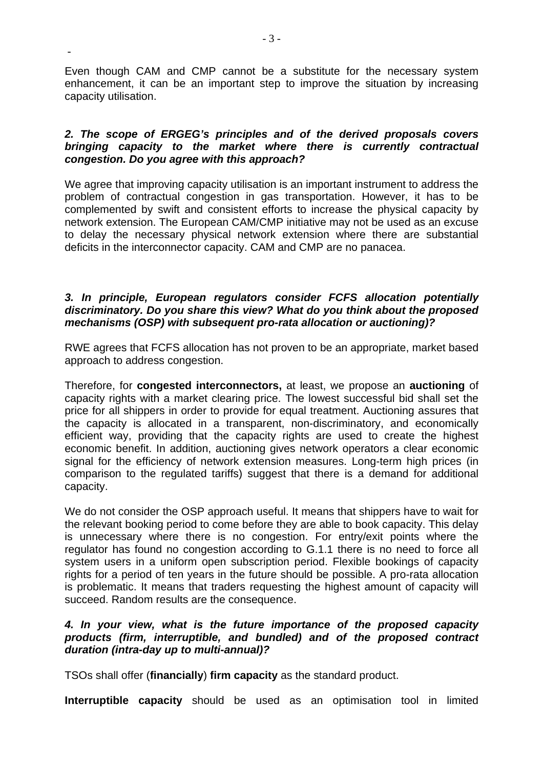Even though CAM and CMP cannot be a substitute for the necessary system enhancement, it can be an important step to improve the situation by increasing capacity utilisation.

### *2. The scope of ERGEG's principles and of the derived proposals covers bringing capacity to the market where there is currently contractual congestion. Do you agree with this approach?*

We agree that improving capacity utilisation is an important instrument to address the problem of contractual congestion in gas transportation. However, it has to be complemented by swift and consistent efforts to increase the physical capacity by network extension. The European CAM/CMP initiative may not be used as an excuse to delay the necessary physical network extension where there are substantial deficits in the interconnector capacity. CAM and CMP are no panacea.

#### *3. In principle, European regulators consider FCFS allocation potentially discriminatory. Do you share this view? What do you think about the proposed mechanisms (OSP) with subsequent pro-rata allocation or auctioning)?*

RWE agrees that FCFS allocation has not proven to be an appropriate, market based approach to address congestion.

Therefore, for **congested interconnectors,** at least, we propose an **auctioning** of capacity rights with a market clearing price. The lowest successful bid shall set the price for all shippers in order to provide for equal treatment. Auctioning assures that the capacity is allocated in a transparent, non-discriminatory, and economically efficient way, providing that the capacity rights are used to create the highest economic benefit. In addition, auctioning gives network operators a clear economic signal for the efficiency of network extension measures. Long-term high prices (in comparison to the regulated tariffs) suggest that there is a demand for additional capacity.

We do not consider the OSP approach useful. It means that shippers have to wait for the relevant booking period to come before they are able to book capacity. This delay is unnecessary where there is no congestion. For entry/exit points where the regulator has found no congestion according to G.1.1 there is no need to force all system users in a uniform open subscription period. Flexible bookings of capacity rights for a period of ten years in the future should be possible. A pro-rata allocation is problematic. It means that traders requesting the highest amount of capacity will succeed. Random results are the consequence.

## *4. In your view, what is the future importance of the proposed capacity products (firm, interruptible, and bundled) and of the proposed contract duration (intra-day up to multi-annual)?*

TSOs shall offer (**financially**) **firm capacity** as the standard product.

**Interruptible capacity** should be used as an optimisation tool in limited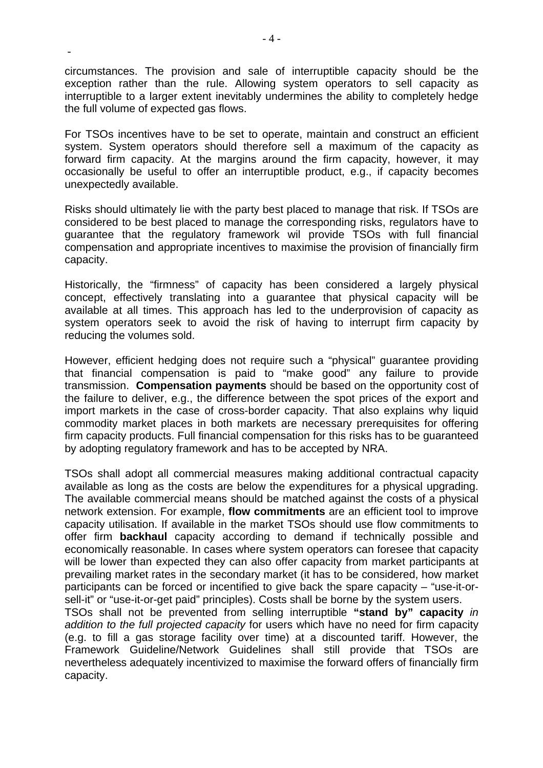circumstances. The provision and sale of interruptible capacity should be the exception rather than the rule. Allowing system operators to sell capacity as interruptible to a larger extent inevitably undermines the ability to completely hedge the full volume of expected gas flows.

For TSOs incentives have to be set to operate, maintain and construct an efficient system. System operators should therefore sell a maximum of the capacity as forward firm capacity. At the margins around the firm capacity, however, it may occasionally be useful to offer an interruptible product, e.g., if capacity becomes unexpectedly available.

Risks should ultimately lie with the party best placed to manage that risk. If TSOs are considered to be best placed to manage the corresponding risks, regulators have to guarantee that the regulatory framework wil provide TSOs with full financial compensation and appropriate incentives to maximise the provision of financially firm capacity.

Historically, the "firmness" of capacity has been considered a largely physical concept, effectively translating into a guarantee that physical capacity will be available at all times. This approach has led to the underprovision of capacity as system operators seek to avoid the risk of having to interrupt firm capacity by reducing the volumes sold.

However, efficient hedging does not require such a "physical" guarantee providing that financial compensation is paid to "make good" any failure to provide transmission. **Compensation payments** should be based on the opportunity cost of the failure to deliver, e.g., the difference between the spot prices of the export and import markets in the case of cross-border capacity. That also explains why liquid commodity market places in both markets are necessary prerequisites for offering firm capacity products. Full financial compensation for this risks has to be guaranteed by adopting regulatory framework and has to be accepted by NRA.

TSOs shall adopt all commercial measures making additional contractual capacity available as long as the costs are below the expenditures for a physical upgrading. The available commercial means should be matched against the costs of a physical network extension. For example, **flow commitments** are an efficient tool to improve capacity utilisation. If available in the market TSOs should use flow commitments to offer firm **backhaul** capacity according to demand if technically possible and economically reasonable. In cases where system operators can foresee that capacity will be lower than expected they can also offer capacity from market participants at prevailing market rates in the secondary market (it has to be considered, how market participants can be forced or incentified to give back the spare capacity – "use-it-orsell-it" or "use-it-or-get paid" principles). Costs shall be borne by the system users.

TSOs shall not be prevented from selling interruptible **"stand by" capacity** *in addition to the full projected capacity* for users which have no need for firm capacity (e.g. to fill a gas storage facility over time) at a discounted tariff. However, the Framework Guideline/Network Guidelines shall still provide that TSOs are nevertheless adequately incentivized to maximise the forward offers of financially firm capacity.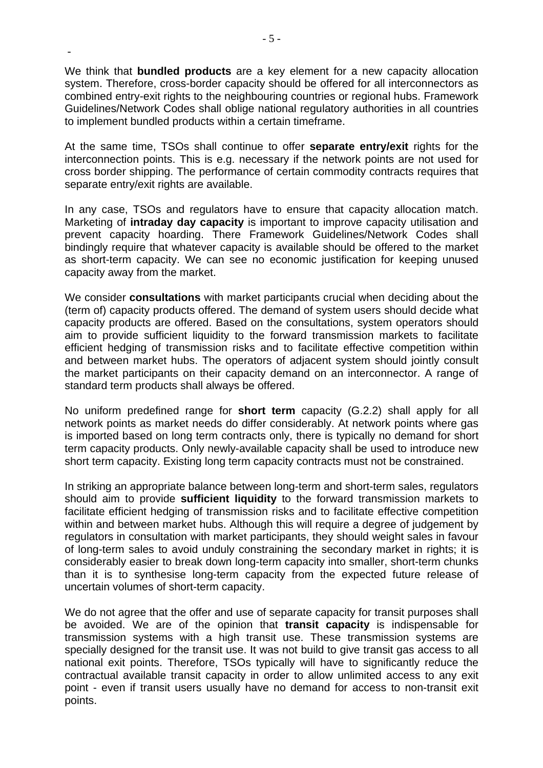We think that **bundled products** are a key element for a new capacity allocation system. Therefore, cross-border capacity should be offered for all interconnectors as combined entry-exit rights to the neighbouring countries or regional hubs. Framework Guidelines/Network Codes shall oblige national regulatory authorities in all countries to implement bundled products within a certain timeframe.

At the same time, TSOs shall continue to offer **separate entry/exit** rights for the interconnection points. This is e.g. necessary if the network points are not used for cross border shipping. The performance of certain commodity contracts requires that separate entry/exit rights are available.

In any case, TSOs and regulators have to ensure that capacity allocation match. Marketing of **intraday day capacity** is important to improve capacity utilisation and prevent capacity hoarding. There Framework Guidelines/Network Codes shall bindingly require that whatever capacity is available should be offered to the market as short-term capacity. We can see no economic justification for keeping unused capacity away from the market.

We consider **consultations** with market participants crucial when deciding about the (term of) capacity products offered. The demand of system users should decide what capacity products are offered. Based on the consultations, system operators should aim to provide sufficient liquidity to the forward transmission markets to facilitate efficient hedging of transmission risks and to facilitate effective competition within and between market hubs. The operators of adjacent system should jointly consult the market participants on their capacity demand on an interconnector. A range of standard term products shall always be offered.

No uniform predefined range for **short term** capacity (G.2.2) shall apply for all network points as market needs do differ considerably. At network points where gas is imported based on long term contracts only, there is typically no demand for short term capacity products. Only newly-available capacity shall be used to introduce new short term capacity. Existing long term capacity contracts must not be constrained.

In striking an appropriate balance between long-term and short-term sales, regulators should aim to provide **sufficient liquidity** to the forward transmission markets to facilitate efficient hedging of transmission risks and to facilitate effective competition within and between market hubs. Although this will require a degree of judgement by regulators in consultation with market participants, they should weight sales in favour of long-term sales to avoid unduly constraining the secondary market in rights; it is considerably easier to break down long-term capacity into smaller, short-term chunks than it is to synthesise long-term capacity from the expected future release of uncertain volumes of short-term capacity.

We do not agree that the offer and use of separate capacity for transit purposes shall be avoided. We are of the opinion that **transit capacity** is indispensable for transmission systems with a high transit use. These transmission systems are specially designed for the transit use. It was not build to give transit gas access to all national exit points. Therefore, TSOs typically will have to significantly reduce the contractual available transit capacity in order to allow unlimited access to any exit point - even if transit users usually have no demand for access to non-transit exit points.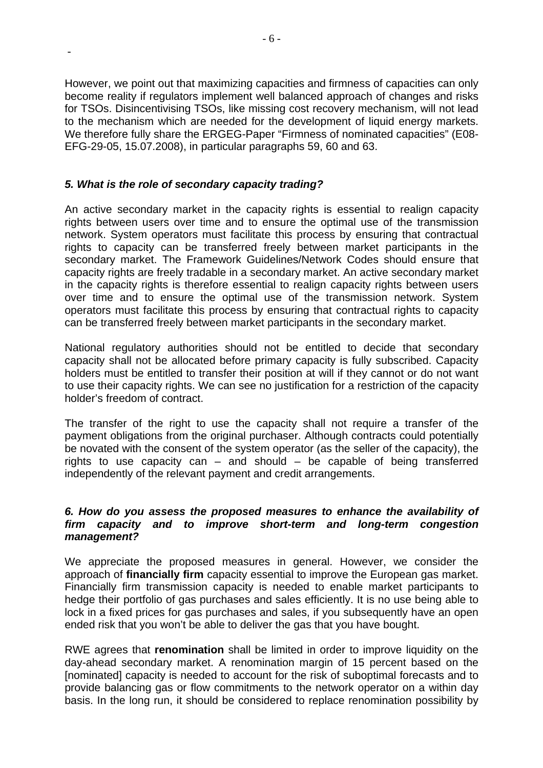However, we point out that maximizing capacities and firmness of capacities can only become reality if regulators implement well balanced approach of changes and risks for TSOs. Disincentivising TSOs, like missing cost recovery mechanism, will not lead to the mechanism which are needed for the development of liquid energy markets. We therefore fully share the ERGEG-Paper "Firmness of nominated capacities" (E08- EFG-29-05, 15.07.2008), in particular paragraphs 59, 60 and 63.

# *5. What is the role of secondary capacity trading?*

-

An active secondary market in the capacity rights is essential to realign capacity rights between users over time and to ensure the optimal use of the transmission network. System operators must facilitate this process by ensuring that contractual rights to capacity can be transferred freely between market participants in the secondary market. The Framework Guidelines/Network Codes should ensure that capacity rights are freely tradable in a secondary market. An active secondary market in the capacity rights is therefore essential to realign capacity rights between users over time and to ensure the optimal use of the transmission network. System operators must facilitate this process by ensuring that contractual rights to capacity can be transferred freely between market participants in the secondary market.

National regulatory authorities should not be entitled to decide that secondary capacity shall not be allocated before primary capacity is fully subscribed. Capacity holders must be entitled to transfer their position at will if they cannot or do not want to use their capacity rights. We can see no justification for a restriction of the capacity holder's freedom of contract.

The transfer of the right to use the capacity shall not require a transfer of the payment obligations from the original purchaser. Although contracts could potentially be novated with the consent of the system operator (as the seller of the capacity), the rights to use capacity can – and should – be capable of being transferred independently of the relevant payment and credit arrangements.

#### *6. How do you assess the proposed measures to enhance the availability of firm capacity and to improve short-term and long-term congestion management?*

We appreciate the proposed measures in general. However, we consider the approach of **financially firm** capacity essential to improve the European gas market. Financially firm transmission capacity is needed to enable market participants to hedge their portfolio of gas purchases and sales efficiently. It is no use being able to lock in a fixed prices for gas purchases and sales, if you subsequently have an open ended risk that you won't be able to deliver the gas that you have bought.

RWE agrees that **renomination** shall be limited in order to improve liquidity on the day-ahead secondary market. A renomination margin of 15 percent based on the [nominated] capacity is needed to account for the risk of suboptimal forecasts and to provide balancing gas or flow commitments to the network operator on a within day basis. In the long run, it should be considered to replace renomination possibility by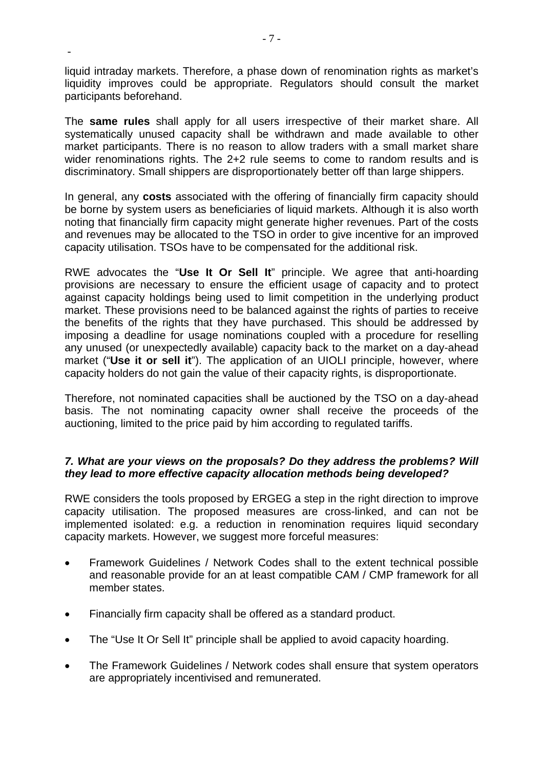liquid intraday markets. Therefore, a phase down of renomination rights as market's liquidity improves could be appropriate. Regulators should consult the market participants beforehand.

The **same rules** shall apply for all users irrespective of their market share. All systematically unused capacity shall be withdrawn and made available to other market participants. There is no reason to allow traders with a small market share wider renominations rights. The 2+2 rule seems to come to random results and is discriminatory. Small shippers are [disproportionately](http://dict.leo.org/ende?lp=ende&p=thMx..&search=disproportionately) better off than large shippers.

In general, any **costs** associated with the offering of financially firm capacity should be borne by system users as beneficiaries of liquid markets. Although it is also worth noting that financially firm capacity might generate higher revenues. Part of the costs and revenues may be allocated to the TSO in order to give incentive for an improved capacity utilisation. TSOs have to be compensated for the additional risk.

RWE advocates the "**Use It Or Sell It**" principle. We agree that anti-hoarding provisions are necessary to ensure the efficient usage of capacity and to protect against capacity holdings being used to limit competition in the underlying product market. These provisions need to be balanced against the rights of parties to receive the benefits of the rights that they have purchased. This should be addressed by imposing a deadline for usage nominations coupled with a procedure for reselling any unused (or unexpectedly available) capacity back to the market on a day-ahead market ("**Use it or sell it**"). The application of an UIOLI principle, however, where capacity holders do not gain the value of their capacity rights, is disproportionate.

Therefore, not nominated capacities shall be auctioned by the TSO on a day-ahead basis. The not nominating capacity owner shall receive the proceeds of the auctioning, limited to the price paid by him according to regulated tariffs.

## *7. What are your views on the proposals? Do they address the problems? Will they lead to more effective capacity allocation methods being developed?*

RWE considers the tools proposed by ERGEG a step in the right direction to improve capacity utilisation. The proposed measures are cross-linked, and can not be implemented isolated: e.g. a reduction in renomination requires liquid secondary capacity markets. However, we suggest more forceful measures:

- Framework Guidelines / Network Codes shall to the extent technical possible and reasonable provide for an at least compatible CAM / CMP framework for all member states.
- Financially firm capacity shall be offered as a standard product.
- The "Use It Or Sell It" principle shall be applied to avoid capacity hoarding.
- The Framework Guidelines / Network codes shall ensure that system operators are appropriately incentivised and remunerated.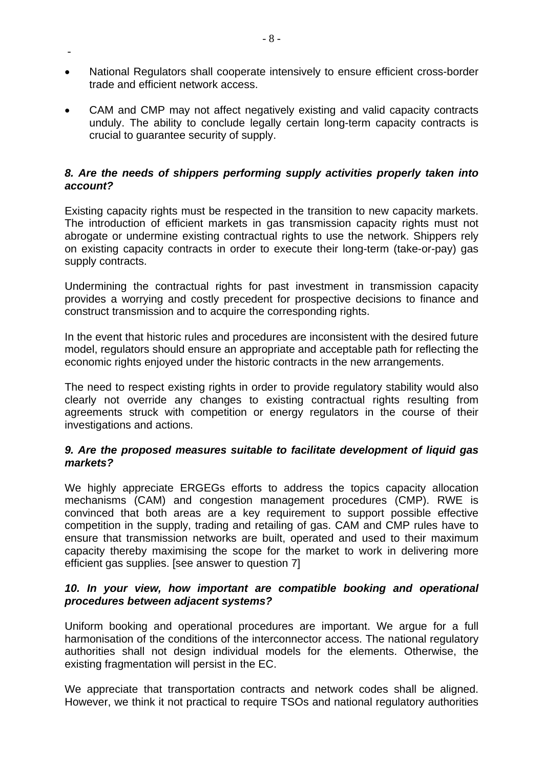- National Regulators shall cooperate intensively to ensure efficient cross-border trade and efficient network access.
- CAM and CMP may not affect negatively existing and valid capacity contracts unduly. The ability to conclude legally certain long-term capacity contracts is crucial to guarantee security of supply.

## *8. Are the needs of shippers performing supply activities properly taken into account?*

Existing capacity rights must be respected in the transition to new capacity markets. The introduction of efficient markets in gas transmission capacity rights must not abrogate or undermine existing contractual rights to use the network. Shippers rely on existing capacity contracts in order to execute their long-term (take-or-pay) gas supply contracts.

Undermining the contractual rights for past investment in transmission capacity provides a worrying and costly precedent for prospective decisions to finance and construct transmission and to acquire the corresponding rights.

In the event that historic rules and procedures are inconsistent with the desired future model, regulators should ensure an appropriate and acceptable path for reflecting the economic rights enjoyed under the historic contracts in the new arrangements.

The need to respect existing rights in order to provide regulatory stability would also clearly not override any changes to existing contractual rights resulting from agreements struck with competition or energy regulators in the course of their investigations and actions.

## *9. Are the proposed measures suitable to facilitate development of liquid gas markets?*

We highly appreciate ERGEGs efforts to address the topics capacity allocation mechanisms (CAM) and congestion management procedures (CMP). RWE is convinced that both areas are a key requirement to support possible effective competition in the supply, trading and retailing of gas. CAM and CMP rules have to ensure that transmission networks are built, operated and used to their maximum capacity thereby maximising the scope for the market to work in delivering more efficient gas supplies. [see answer to question 7]

## *10. In your view, how important are compatible booking and operational procedures between adjacent systems?*

Uniform booking and operational procedures are important. We argue for a full harmonisation of the conditions of the interconnector access. The national regulatory authorities shall not design individual models for the elements. Otherwise, the existing fragmentation will persist in the EC.

We appreciate that transportation contracts and network codes shall be aligned. However, we think it not practical to require TSOs and national regulatory authorities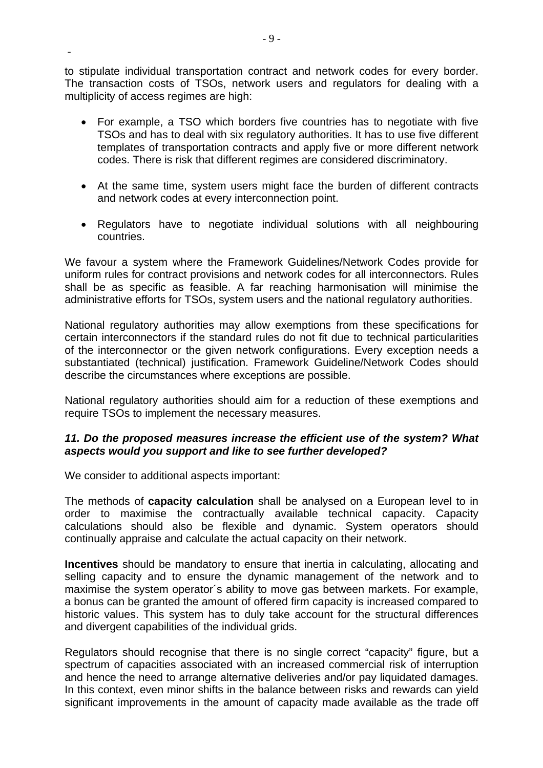to stipulate individual transportation contract and network codes for every border. The transaction costs of TSOs, network users and regulators for dealing with a multiplicity of access regimes are high:

- For example, a TSO which borders five countries has to negotiate with five TSOs and has to deal with six regulatory authorities. It has to use five different templates of transportation contracts and apply five or more different network codes. There is risk that different regimes are considered discriminatory.
- At the same time, system users might face the burden of different contracts and network codes at every interconnection point.
- Regulators have to negotiate individual solutions with all neighbouring countries.

We favour a system where the Framework Guidelines/Network Codes provide for uniform rules for contract provisions and network codes for all interconnectors. Rules shall be as specific as feasible. A far reaching harmonisation will minimise the administrative efforts for TSOs, system users and the national regulatory authorities.

National regulatory authorities may allow exemptions from these specifications for certain interconnectors if the standard rules do not fit due to technical particularities of the interconnector or the given network configurations. Every exception needs a substantiated (technical) justification. Framework Guideline/Network Codes should describe the circumstances where exceptions are possible.

National regulatory authorities should aim for a reduction of these exemptions and require TSOs to implement the necessary measures.

## *11. Do the proposed measures increase the efficient use of the system? What aspects would you support and like to see further developed?*

We consider to additional aspects important:

-

The methods of **capacity calculation** shall be analysed on a European level to in order to maximise the contractually available technical capacity. Capacity calculations should also be flexible and dynamic. System operators should continually appraise and calculate the actual capacity on their network.

**Incentives** should be mandatory to ensure that inertia in calculating, allocating and selling capacity and to ensure the dynamic management of the network and to maximise the system operator´s ability to move gas between markets. For example, a bonus can be granted the amount of offered firm capacity is increased compared to historic values. This system has to duly take account for the structural differences and divergent capabilities of the individual grids.

Regulators should recognise that there is no single correct "capacity" figure, but a spectrum of capacities associated with an increased commercial risk of interruption and hence the need to arrange alternative deliveries and/or pay liquidated damages. In this context, even minor shifts in the balance between risks and rewards can yield significant improvements in the amount of capacity made available as the trade off